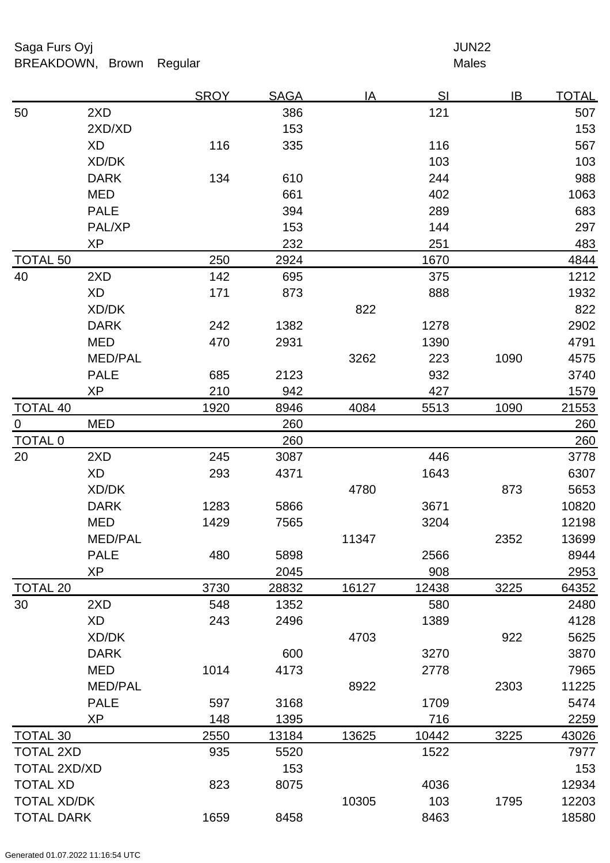Saga Furs Oyj and the Saga Furs Oyj and the Saga Furs of the Saga Furs of the Saga Furs of the Saga Furs of the Saga Furs of the Saga Furs of the Saga Furs of the Saga Furs of the Saga Furs of the Saga Furs of the Saga Fur BREAKDOWN, Brown Regular Males

|                     |                | <b>SROY</b> | <b>SAGA</b> | <u>IA</u> | <u>SI</u> | IB   | <u>TOTAL</u> |
|---------------------|----------------|-------------|-------------|-----------|-----------|------|--------------|
| 50                  | 2XD            |             | 386         |           | 121       |      | 507          |
|                     | 2XD/XD         |             | 153         |           |           |      | 153          |
|                     | XD             | 116         | 335         |           | 116       |      | 567          |
|                     | XD/DK          |             |             |           | 103       |      | 103          |
|                     | <b>DARK</b>    | 134         | 610         |           | 244       |      | 988          |
|                     | <b>MED</b>     |             | 661         |           | 402       |      | 1063         |
|                     | <b>PALE</b>    |             | 394         |           | 289       |      | 683          |
|                     | PAL/XP         |             | 153         |           | 144       |      | 297          |
|                     | XP             |             | 232         |           | 251       |      | 483          |
| <b>TOTAL 50</b>     |                | 250         | 2924        |           | 1670      |      | 4844         |
| 40                  | 2XD            | 142         | 695         |           | 375       |      | 1212         |
|                     | <b>XD</b>      | 171         | 873         |           | 888       |      | 1932         |
|                     | XD/DK          |             |             | 822       |           |      | 822          |
|                     | <b>DARK</b>    | 242         | 1382        |           | 1278      |      | 2902         |
|                     | <b>MED</b>     | 470         | 2931        |           | 1390      |      | 4791         |
|                     | <b>MED/PAL</b> |             |             | 3262      | 223       | 1090 | 4575         |
|                     | <b>PALE</b>    | 685         | 2123        |           | 932       |      | 3740         |
|                     | <b>XP</b>      | 210         | 942         |           | 427       |      | 1579         |
| <b>TOTAL 40</b>     |                | 1920        | 8946        | 4084      | 5513      | 1090 | 21553        |
| $\overline{0}$      | <b>MED</b>     |             | 260         |           |           |      | 260          |
| <b>TOTAL 0</b>      |                |             | 260         |           |           |      | 260          |
| 20                  | 2XD            | 245         | 3087        |           | 446       |      | 3778         |
|                     | <b>XD</b>      | 293         | 4371        |           | 1643      |      | 6307         |
|                     | XD/DK          |             |             | 4780      |           | 873  | 5653         |
|                     | <b>DARK</b>    | 1283        | 5866        |           | 3671      |      | 10820        |
|                     | <b>MED</b>     | 1429        | 7565        |           | 3204      |      | 12198        |
|                     | <b>MED/PAL</b> |             |             | 11347     |           | 2352 | 13699        |
|                     | <b>PALE</b>    | 480         | 5898        |           | 2566      |      | 8944         |
|                     | <b>XP</b>      |             | 2045        |           | 908       |      | 2953         |
| <b>TOTAL 20</b>     |                | 3730        | 28832       | 16127     | 12438     | 3225 | 64352        |
| 30                  | 2XD            | 548         | 1352        |           | 580       |      | 2480         |
|                     | XD             | 243         | 2496        |           | 1389      |      | 4128         |
|                     | XD/DK          |             |             | 4703      |           | 922  | 5625         |
|                     | <b>DARK</b>    |             | 600         |           | 3270      |      | 3870         |
|                     | <b>MED</b>     | 1014        | 4173        |           | 2778      |      | 7965         |
|                     | <b>MED/PAL</b> |             |             | 8922      |           | 2303 | 11225        |
|                     | <b>PALE</b>    | 597         | 3168        |           | 1709      |      | 5474         |
|                     | <b>XP</b>      | 148         | 1395        |           | 716       |      | 2259         |
| <b>TOTAL 30</b>     |                | 2550        | 13184       | 13625     | 10442     | 3225 | 43026        |
| <b>TOTAL 2XD</b>    |                | 935         | 5520        |           | 1522      |      | 7977         |
| <b>TOTAL 2XD/XD</b> |                |             | 153         |           |           |      | 153          |
| <b>TOTAL XD</b>     |                | 823         | 8075        |           | 4036      |      | 12934        |
| <b>TOTAL XD/DK</b>  |                |             |             | 10305     | 103       | 1795 | 12203        |
| <b>TOTAL DARK</b>   |                | 1659        | 8458        |           | 8463      |      | 18580        |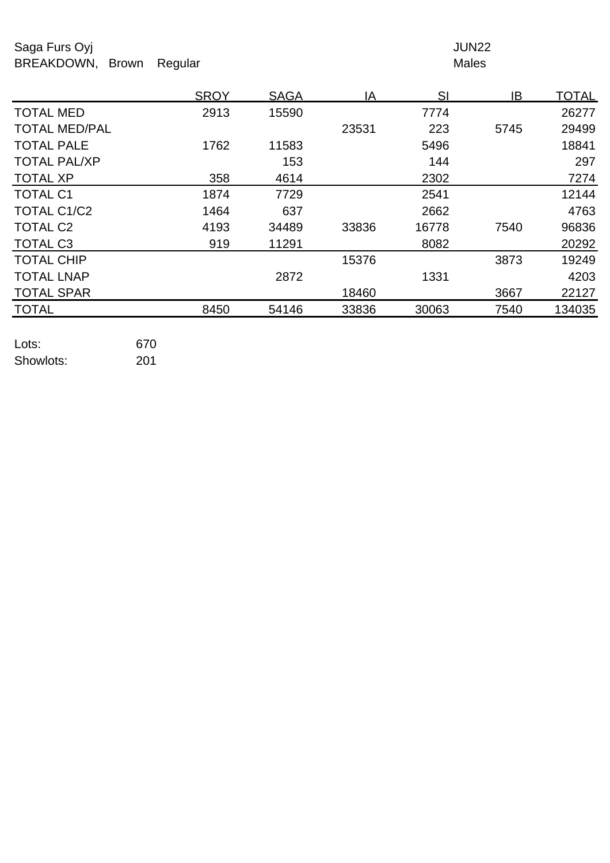Saga Furs Oyj and the Saga Furs Oyj and the Saga Furs of the Saga Furs of the Saga Furs of the Saga Furs of the Saga Furs of the Saga Furs of the Saga Furs of the Saga Furs of the Saga Furs of the Saga Furs of the Saga Fur BREAKDOWN, Brown Regular Males

|                      | <b>SROY</b> | <b>SAGA</b> | ΙA    | SI    | IB   | <u>TOTAL</u> |
|----------------------|-------------|-------------|-------|-------|------|--------------|
| <b>TOTAL MED</b>     | 2913        | 15590       |       | 7774  |      | 26277        |
| <b>TOTAL MED/PAL</b> |             |             | 23531 | 223   | 5745 | 29499        |
| <b>TOTAL PALE</b>    | 1762        | 11583       |       | 5496  |      | 18841        |
| <b>TOTAL PAL/XP</b>  |             | 153         |       | 144   |      | 297          |
| <b>TOTAL XP</b>      | 358         | 4614        |       | 2302  |      | 7274         |
| <b>TOTAL C1</b>      | 1874        | 7729        |       | 2541  |      | 12144        |
| TOTAL C1/C2          | 1464        | 637         |       | 2662  |      | 4763         |
| <b>TOTAL C2</b>      | 4193        | 34489       | 33836 | 16778 | 7540 | 96836        |
| <b>TOTAL C3</b>      | 919         | 11291       |       | 8082  |      | 20292        |
| <b>TOTAL CHIP</b>    |             |             | 15376 |       | 3873 | 19249        |
| <b>TOTAL LNAP</b>    |             | 2872        |       | 1331  |      | 4203         |
| <b>TOTAL SPAR</b>    |             |             | 18460 |       | 3667 | 22127        |
| <b>TOTAL</b>         | 8450        | 54146       | 33836 | 30063 | 7540 | 134035       |
|                      |             |             |       |       |      |              |

| Lots:     | 670 |
|-----------|-----|
| Showlots: | 201 |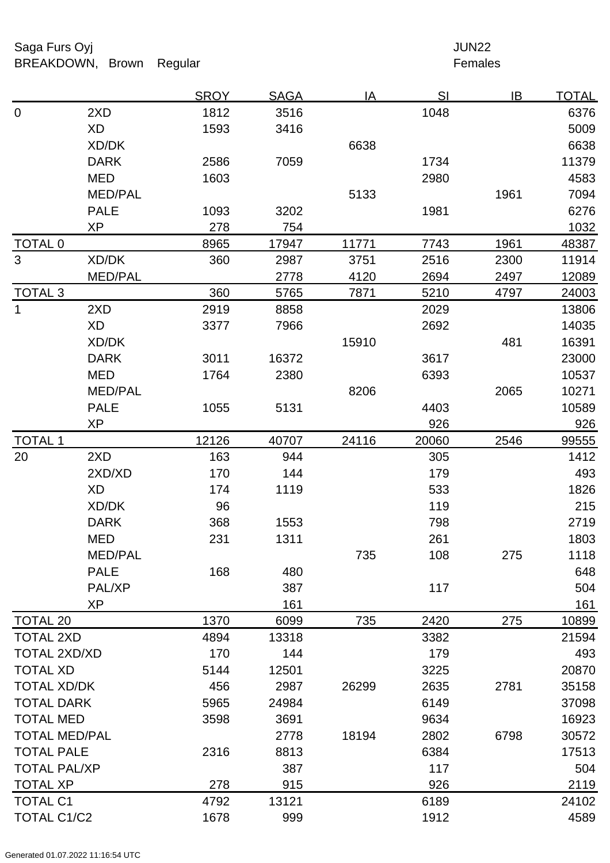Saga Furs Oyj and the Saga Furs Oyj and the Saga Furs of the Saga Furs of the Saga Furs of the Saga Furs of the Saga Furs of the Saga Furs of the Saga Furs of the Saga Furs of the Saga Furs of the Saga Furs of the Saga Fur BREAKDOWN, Brown Regular **Females** 

|                      |                | <b>SROY</b> | <b>SAGA</b> | IA    | SI    | IB   | <b>TOTAL</b> |
|----------------------|----------------|-------------|-------------|-------|-------|------|--------------|
| $\mathbf 0$          | 2XD            | 1812        | 3516        |       | 1048  |      | 6376         |
|                      | <b>XD</b>      | 1593        | 3416        |       |       |      | 5009         |
|                      | XD/DK          |             |             | 6638  |       |      | 6638         |
|                      | <b>DARK</b>    | 2586        | 7059        |       | 1734  |      | 11379        |
|                      | <b>MED</b>     | 1603        |             |       | 2980  |      | 4583         |
|                      | <b>MED/PAL</b> |             |             | 5133  |       | 1961 | 7094         |
|                      | <b>PALE</b>    | 1093        | 3202        |       | 1981  |      | 6276         |
|                      | XP             | 278         | 754         |       |       |      | 1032         |
| <b>TOTAL 0</b>       |                | 8965        | 17947       | 11771 | 7743  | 1961 | 48387        |
| 3                    | XD/DK          | 360         | 2987        | 3751  | 2516  | 2300 | 11914        |
|                      | <b>MED/PAL</b> |             | 2778        | 4120  | 2694  | 2497 | 12089        |
| <b>TOTAL 3</b>       |                | 360         | 5765        | 7871  | 5210  | 4797 | 24003        |
| $\mathbf 1$          | 2XD            | 2919        | 8858        |       | 2029  |      | 13806        |
|                      | <b>XD</b>      | 3377        | 7966        |       | 2692  |      | 14035        |
|                      | XD/DK          |             |             | 15910 |       | 481  | 16391        |
|                      | <b>DARK</b>    | 3011        | 16372       |       | 3617  |      | 23000        |
|                      | <b>MED</b>     | 1764        | 2380        |       | 6393  |      | 10537        |
|                      | <b>MED/PAL</b> |             |             | 8206  |       | 2065 | 10271        |
|                      | <b>PALE</b>    | 1055        | 5131        |       | 4403  |      | 10589        |
|                      | <b>XP</b>      |             |             |       | 926   |      | 926          |
| <b>TOTAL 1</b>       |                | 12126       | 40707       | 24116 | 20060 | 2546 | 99555        |
| 20                   | 2XD            | 163         | 944         |       | 305   |      | 1412         |
|                      | 2XD/XD         | 170         | 144         |       | 179   |      | 493          |
|                      | <b>XD</b>      | 174         | 1119        |       | 533   |      | 1826         |
|                      | XD/DK          | 96          |             |       | 119   |      | 215          |
|                      | <b>DARK</b>    | 368         | 1553        |       | 798   |      | 2719         |
|                      | <b>MED</b>     | 231         | 1311        |       | 261   |      | 1803         |
|                      | <b>MED/PAL</b> |             |             | 735   | 108   | 275  | 1118         |
|                      | <b>PALE</b>    | 168         | 480         |       |       |      | 648          |
|                      | PAL/XP         |             | 387         |       | 117   |      | 504          |
|                      | <b>XP</b>      |             | 161         |       |       |      | 161          |
| <b>TOTAL 20</b>      |                | 1370        | 6099        | 735   | 2420  | 275  | 10899        |
| <b>TOTAL 2XD</b>     |                | 4894        | 13318       |       | 3382  |      | 21594        |
| <b>TOTAL 2XD/XD</b>  |                | 170         | 144         |       | 179   |      | 493          |
| <b>TOTAL XD</b>      |                | 5144        | 12501       |       | 3225  |      | 20870        |
| <b>TOTAL XD/DK</b>   |                | 456         | 2987        | 26299 | 2635  | 2781 | 35158        |
| <b>TOTAL DARK</b>    |                | 5965        | 24984       |       | 6149  |      | 37098        |
| <b>TOTAL MED</b>     |                | 3598        | 3691        |       | 9634  |      | 16923        |
| <b>TOTAL MED/PAL</b> |                |             | 2778        | 18194 | 2802  | 6798 | 30572        |
| <b>TOTAL PALE</b>    |                | 2316        | 8813        |       | 6384  |      | 17513        |
| <b>TOTAL PAL/XP</b>  |                |             | 387         |       | 117   |      | 504          |
| <b>TOTAL XP</b>      |                | 278         | 915         |       | 926   |      | 2119         |
| <b>TOTAL C1</b>      |                | 4792        | 13121       |       | 6189  |      | 24102        |
| <b>TOTAL C1/C2</b>   |                | 1678        | 999         |       | 1912  |      | 4589         |